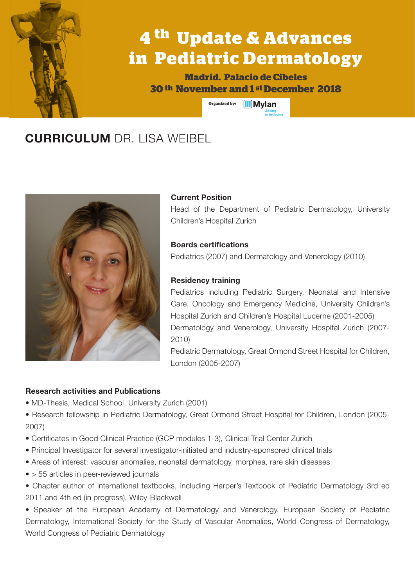# **4 th Update & Advances in Pediatric Dermatology**

**Madrid. Palacio de Cibeles 30 th November and 1 st December 2018**

> **Organized by: MMvlan**

### **CURRICULUM** DR. LISA WEIBEL



#### **Current Position**

Head of the Department of Pediatric Dermatology, University Children's Hospital Zurich

#### **Boards certifications**

Pediatrics (2007) and Dermatology and Venerology (2010)

#### **Residency training**

Pediatrics including Pediatric Surgery, Neonatal and Intensive Care, Oncology and Emergency Medicine, University Children's Hospital Zurich and Children's Hospital Lucerne (2001-2005) Dermatology and Venerology, University Hospital Zurich (2007- 2010)

Pediatric Dermatology, Great Ormond Street Hospital for Children, London (2005-2007)

#### **Research activities and Publications**

- MD-Thesis, Medical School, University Zurich (2001)
- Research fellowship in Pediatric Dermatology, Great Ormond Street Hospital for Children, London (2005- 2007)
- Certificates in Good Clinical Practice (GCP modules 1-3), Clinical Trial Center Zurich
- Principal Investigator for several investigator-initiated and industry-sponsored clinical trials
- Areas of interest: vascular anomalies, neonatal dermatology, morphea, rare skin diseases
- > 55 articles in peer-reviewed journals
- Chapter author of international textbooks, including Harper's Textbook of Pediatric Dermatology 3rd ed 2011 and 4th ed (in progress), Wiley-Blackwell

• Speaker at the European Academy of Dermatology and Venerology, European Society of Pediatric Dermatology, International Society for the Study of Vascular Anomalies, World Congress of Dermatology, World Congress of Pediatric Dermatology